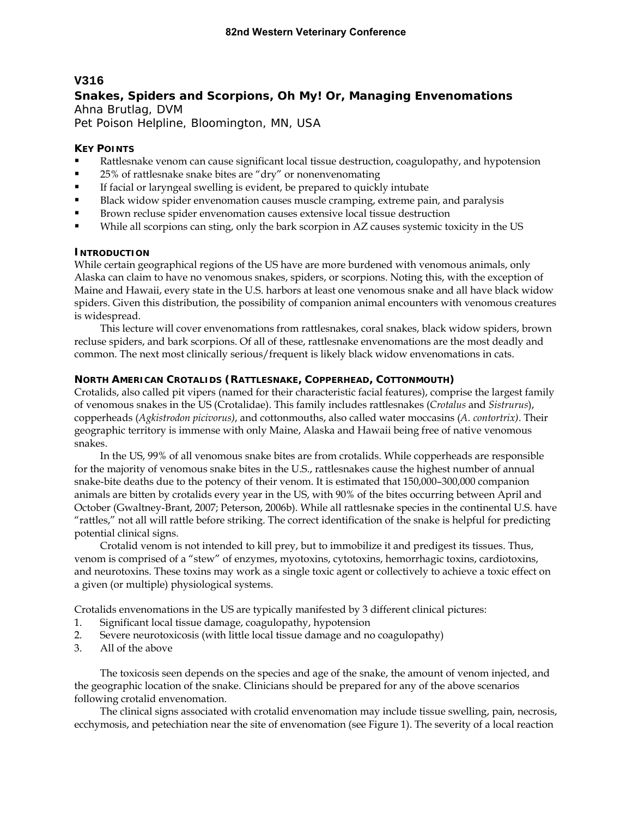## **V316**

# **Snakes, Spiders and Scorpions, Oh My! Or, Managing Envenomations**  Ahna Brutlag, DVM

Pet Poison Helpline, Bloomington, MN, USA

### **KEY POINTS**

- Rattlesnake venom can cause significant local tissue destruction, coagulopathy, and hypotension
- 25% of rattlesnake snake bites are "dry" or nonenvenomating
- If facial or laryngeal swelling is evident, be prepared to quickly intubate
- Black widow spider envenomation causes muscle cramping, extreme pain, and paralysis
- Brown recluse spider envenomation causes extensive local tissue destruction
- While all scorpions can sting, only the bark scorpion in AZ causes systemic toxicity in the US

### **INTRODUCTION**

While certain geographical regions of the US have are more burdened with venomous animals, only Alaska can claim to have no venomous snakes, spiders, or scorpions. Noting this, with the exception of Maine and Hawaii, every state in the U.S. harbors at least one venomous snake and all have black widow spiders. Given this distribution, the possibility of companion animal encounters with venomous creatures is widespread.

This lecture will cover envenomations from rattlesnakes, coral snakes, black widow spiders, brown recluse spiders, and bark scorpions. Of all of these, rattlesnake envenomations are the most deadly and common. The next most clinically serious/frequent is likely black widow envenomations in cats.

### **NORTH AMERICAN CROTALIDS (RATTLESNAKE, COPPERHEAD, COTTONMOUTH)**

Crotalids, also called pit vipers (named for their characteristic facial features), comprise the largest family of venomous snakes in the US (Crotalidae). This family includes rattlesnakes (*Crotalus* and *Sistrurus*), copperheads (*Agkistrodon picivorus)*, and cottonmouths, also called water moccasins (*A. contortrix)*. Their geographic territory is immense with only Maine, Alaska and Hawaii being free of native venomous snakes.

In the US, 99% of all venomous snake bites are from crotalids. While copperheads are responsible for the majority of venomous snake bites in the U.S., rattlesnakes cause the highest number of annual snake-bite deaths due to the potency of their venom. It is estimated that 150,000–300,000 companion animals are bitten by crotalids every year in the US, with 90% of the bites occurring between April and October (Gwaltney-Brant, 2007; Peterson, 2006b). While all rattlesnake species in the continental U.S. have "rattles," not all will rattle before striking. The correct identification of the snake is helpful for predicting potential clinical signs.

Crotalid venom is not intended to kill prey, but to immobilize it and predigest its tissues. Thus, venom is comprised of a "stew" of enzymes, myotoxins, cytotoxins, hemorrhagic toxins, cardiotoxins, and neurotoxins. These toxins may work as a single toxic agent or collectively to achieve a toxic effect on a given (or multiple) physiological systems.

Crotalids envenomations in the US are typically manifested by 3 different clinical pictures:

- 1. Significant local tissue damage, coagulopathy, hypotension
- 2. Severe neurotoxicosis (with little local tissue damage and no coagulopathy)
- 3. All of the above

The toxicosis seen depends on the species and age of the snake, the amount of venom injected, and the geographic location of the snake. Clinicians should be prepared for any of the above scenarios following crotalid envenomation.

The clinical signs associated with crotalid envenomation may include tissue swelling, pain, necrosis, ecchymosis, and petechiation near the site of envenomation (see Figure 1). The severity of a local reaction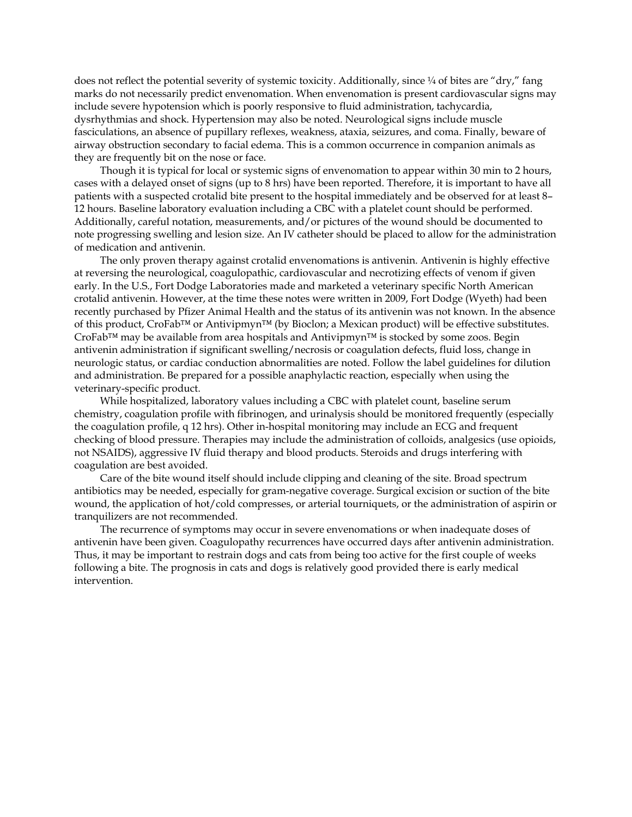does not reflect the potential severity of systemic toxicity. Additionally, since  $\frac{1}{4}$  of bites are "dry," fang marks do not necessarily predict envenomation. When envenomation is present cardiovascular signs may include severe hypotension which is poorly responsive to fluid administration, tachycardia, dysrhythmias and shock. Hypertension may also be noted. Neurological signs include muscle fasciculations, an absence of pupillary reflexes, weakness, ataxia, seizures, and coma. Finally, beware of airway obstruction secondary to facial edema. This is a common occurrence in companion animals as they are frequently bit on the nose or face.

Though it is typical for local or systemic signs of envenomation to appear within 30 min to 2 hours, cases with a delayed onset of signs (up to 8 hrs) have been reported. Therefore, it is important to have all patients with a suspected crotalid bite present to the hospital immediately and be observed for at least 8– 12 hours. Baseline laboratory evaluation including a CBC with a platelet count should be performed. Additionally, careful notation, measurements, and/or pictures of the wound should be documented to note progressing swelling and lesion size. An IV catheter should be placed to allow for the administration of medication and antivenin.

The only proven therapy against crotalid envenomations is antivenin. Antivenin is highly effective at reversing the neurological, coagulopathic, cardiovascular and necrotizing effects of venom if given early. In the U.S., Fort Dodge Laboratories made and marketed a veterinary specific North American crotalid antivenin. However, at the time these notes were written in 2009, Fort Dodge (Wyeth) had been recently purchased by Pfizer Animal Health and the status of its antivenin was not known. In the absence of this product, CroFab™ or Antivipmyn™ (by Bioclon; a Mexican product) will be effective substitutes. CroFab™ may be available from area hospitals and Antivipmyn™ is stocked by some zoos. Begin antivenin administration if significant swelling/necrosis or coagulation defects, fluid loss, change in neurologic status, or cardiac conduction abnormalities are noted. Follow the label guidelines for dilution and administration. Be prepared for a possible anaphylactic reaction, especially when using the veterinary-specific product.

While hospitalized, laboratory values including a CBC with platelet count, baseline serum chemistry, coagulation profile with fibrinogen, and urinalysis should be monitored frequently (especially the coagulation profile, q 12 hrs). Other in-hospital monitoring may include an ECG and frequent checking of blood pressure. Therapies may include the administration of colloids, analgesics (use opioids, not NSAIDS), aggressive IV fluid therapy and blood products. Steroids and drugs interfering with coagulation are best avoided.

Care of the bite wound itself should include clipping and cleaning of the site. Broad spectrum antibiotics may be needed, especially for gram-negative coverage. Surgical excision or suction of the bite wound, the application of hot/cold compresses, or arterial tourniquets, or the administration of aspirin or tranquilizers are not recommended.

The recurrence of symptoms may occur in severe envenomations or when inadequate doses of antivenin have been given. Coagulopathy recurrences have occurred days after antivenin administration. Thus, it may be important to restrain dogs and cats from being too active for the first couple of weeks following a bite. The prognosis in cats and dogs is relatively good provided there is early medical intervention.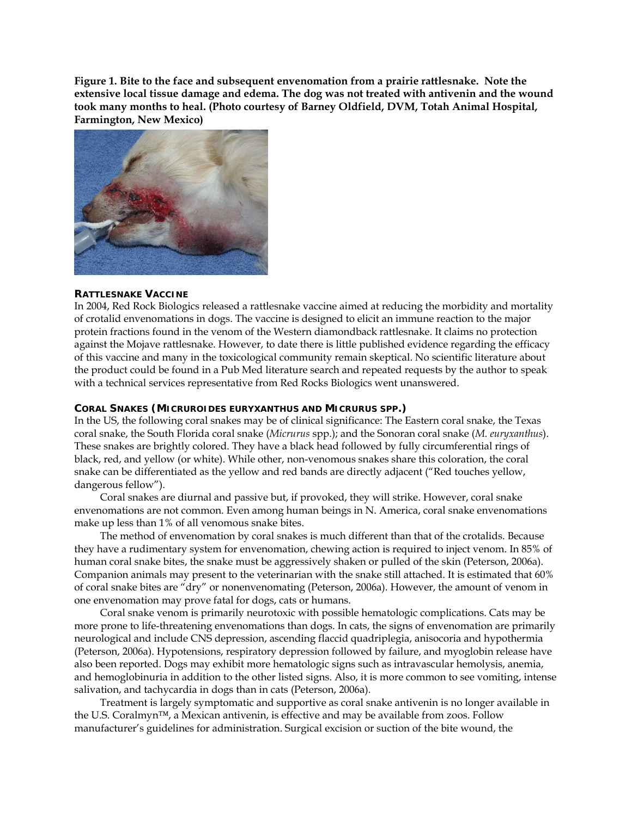**Figure 1. Bite to the face and subsequent envenomation from a prairie rattlesnake. Note the extensive local tissue damage and edema. The dog was not treated with antivenin and the wound took many months to heal. (Photo courtesy of Barney Oldfield, DVM, Totah Animal Hospital, Farmington, New Mexico)** 



#### **RATTLESNAKE VACCINE**

In 2004, Red Rock Biologics released a rattlesnake vaccine aimed at reducing the morbidity and mortality of crotalid envenomations in dogs. The vaccine is designed to elicit an immune reaction to the major protein fractions found in the venom of the Western diamondback rattlesnake. It claims no protection against the Mojave rattlesnake. However, to date there is little published evidence regarding the efficacy of this vaccine and many in the toxicological community remain skeptical. No scientific literature about the product could be found in a Pub Med literature search and repeated requests by the author to speak with a technical services representative from Red Rocks Biologics went unanswered.

#### **CORAL SNAKES (***MICRUROIDES EURYXANTHUS* **AND** *MICRURUS* **SPP.)**

In the US, the following coral snakes may be of clinical significance: The Eastern coral snake, the Texas coral snake, the South Florida coral snake (*Micrurus* spp.); and the Sonoran coral snake (*M. euryxanthus*). These snakes are brightly colored. They have a black head followed by fully circumferential rings of black, red, and yellow (or white). While other, non-venomous snakes share this coloration, the coral snake can be differentiated as the yellow and red bands are directly adjacent ("Red touches yellow, dangerous fellow").

Coral snakes are diurnal and passive but, if provoked, they will strike. However, coral snake envenomations are not common. Even among human beings in N. America, coral snake envenomations make up less than 1% of all venomous snake bites.

The method of envenomation by coral snakes is much different than that of the crotalids. Because they have a rudimentary system for envenomation, chewing action is required to inject venom. In 85% of human coral snake bites, the snake must be aggressively shaken or pulled of the skin (Peterson, 2006a). Companion animals may present to the veterinarian with the snake still attached. It is estimated that 60% of coral snake bites are "dry" or nonenvenomating (Peterson, 2006a). However, the amount of venom in one envenomation may prove fatal for dogs, cats or humans.

Coral snake venom is primarily neurotoxic with possible hematologic complications. Cats may be more prone to life-threatening envenomations than dogs. In cats, the signs of envenomation are primarily neurological and include CNS depression, ascending flaccid quadriplegia, anisocoria and hypothermia (Peterson, 2006a). Hypotensions, respiratory depression followed by failure, and myoglobin release have also been reported. Dogs may exhibit more hematologic signs such as intravascular hemolysis, anemia, and hemoglobinuria in addition to the other listed signs. Also, it is more common to see vomiting, intense salivation, and tachycardia in dogs than in cats (Peterson, 2006a).

Treatment is largely symptomatic and supportive as coral snake antivenin is no longer available in the U.S. Coralmyn™, a Mexican antivenin, is effective and may be available from zoos. Follow manufacturer's guidelines for administration. Surgical excision or suction of the bite wound, the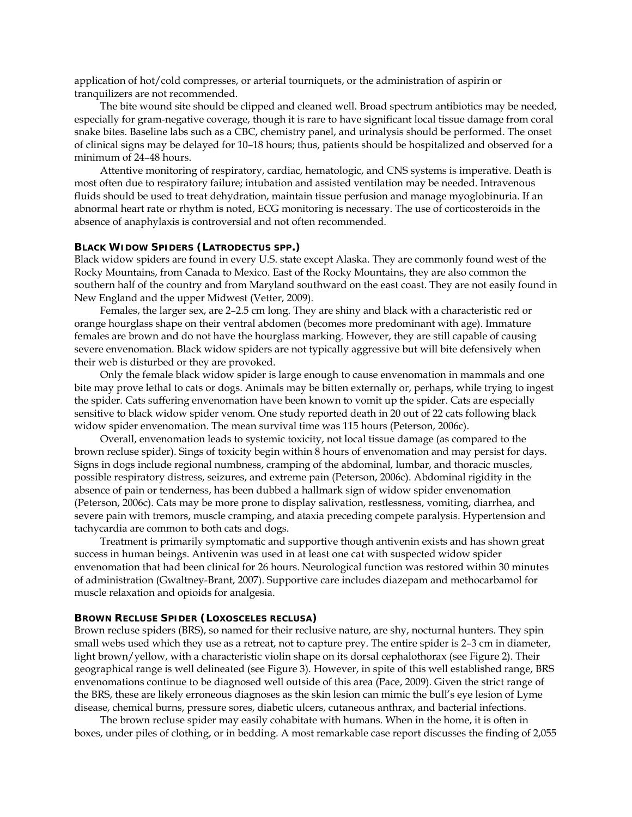application of hot/cold compresses, or arterial tourniquets, or the administration of aspirin or tranquilizers are not recommended.

The bite wound site should be clipped and cleaned well. Broad spectrum antibiotics may be needed, especially for gram-negative coverage, though it is rare to have significant local tissue damage from coral snake bites. Baseline labs such as a CBC, chemistry panel, and urinalysis should be performed. The onset of clinical signs may be delayed for 10–18 hours; thus, patients should be hospitalized and observed for a minimum of 24–48 hours.

Attentive monitoring of respiratory, cardiac, hematologic, and CNS systems is imperative. Death is most often due to respiratory failure; intubation and assisted ventilation may be needed. Intravenous fluids should be used to treat dehydration, maintain tissue perfusion and manage myoglobinuria. If an abnormal heart rate or rhythm is noted, ECG monitoring is necessary. The use of corticosteroids in the absence of anaphylaxis is controversial and not often recommended.

#### **BLACK WIDOW SPIDERS (***LATRODECTUS* **SPP.)**

Black widow spiders are found in every U.S. state except Alaska. They are commonly found west of the Rocky Mountains, from Canada to Mexico. East of the Rocky Mountains, they are also common the southern half of the country and from Maryland southward on the east coast. They are not easily found in New England and the upper Midwest (Vetter, 2009).

Females, the larger sex, are 2–2.5 cm long. They are shiny and black with a characteristic red or orange hourglass shape on their ventral abdomen (becomes more predominant with age). Immature females are brown and do not have the hourglass marking. However, they are still capable of causing severe envenomation. Black widow spiders are not typically aggressive but will bite defensively when their web is disturbed or they are provoked.

Only the female black widow spider is large enough to cause envenomation in mammals and one bite may prove lethal to cats or dogs. Animals may be bitten externally or, perhaps, while trying to ingest the spider. Cats suffering envenomation have been known to vomit up the spider. Cats are especially sensitive to black widow spider venom. One study reported death in 20 out of 22 cats following black widow spider envenomation. The mean survival time was 115 hours (Peterson, 2006c).

Overall, envenomation leads to systemic toxicity, not local tissue damage (as compared to the brown recluse spider). Sings of toxicity begin within 8 hours of envenomation and may persist for days. Signs in dogs include regional numbness, cramping of the abdominal, lumbar, and thoracic muscles, possible respiratory distress, seizures, and extreme pain (Peterson, 2006c). Abdominal rigidity in the absence of pain or tenderness, has been dubbed a hallmark sign of widow spider envenomation (Peterson, 2006c). Cats may be more prone to display salivation, restlessness, vomiting, diarrhea, and severe pain with tremors, muscle cramping, and ataxia preceding compete paralysis. Hypertension and tachycardia are common to both cats and dogs.

Treatment is primarily symptomatic and supportive though antivenin exists and has shown great success in human beings. Antivenin was used in at least one cat with suspected widow spider envenomation that had been clinical for 26 hours. Neurological function was restored within 30 minutes of administration (Gwaltney-Brant, 2007). Supportive care includes diazepam and methocarbamol for muscle relaxation and opioids for analgesia.

#### **BROWN RECLUSE SPIDER (***LOXOSCELES RECLUSA***)**

Brown recluse spiders (BRS), so named for their reclusive nature, are shy, nocturnal hunters. They spin small webs used which they use as a retreat, not to capture prey. The entire spider is 2–3 cm in diameter, light brown/yellow, with a characteristic violin shape on its dorsal cephalothorax (see Figure 2). Their geographical range is well delineated (see Figure 3). However, in spite of this well established range, BRS envenomations continue to be diagnosed well outside of this area (Pace, 2009). Given the strict range of the BRS, these are likely erroneous diagnoses as the skin lesion can mimic the bull's eye lesion of Lyme disease, chemical burns, pressure sores, diabetic ulcers, cutaneous anthrax, and bacterial infections.

The brown recluse spider may easily cohabitate with humans. When in the home, it is often in boxes, under piles of clothing, or in bedding. A most remarkable case report discusses the finding of 2,055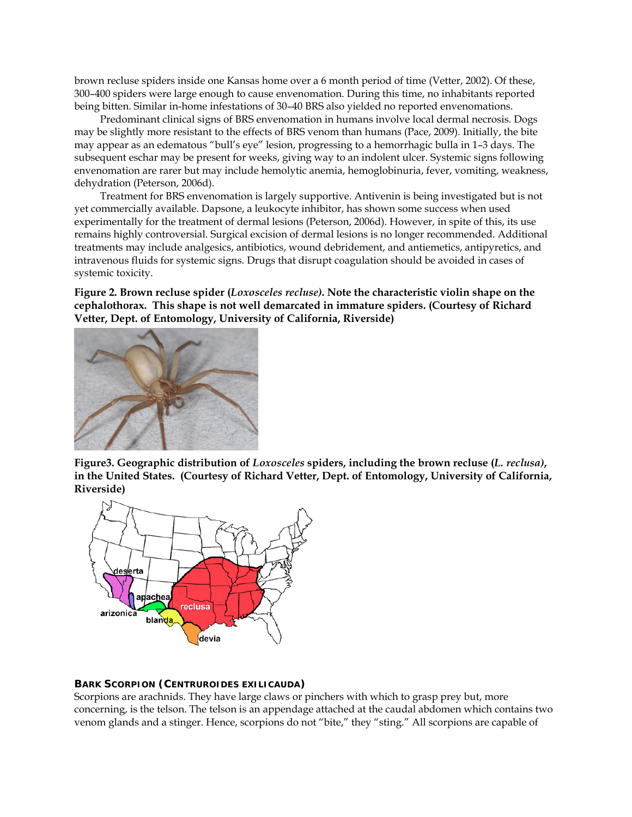brown recluse spiders inside one Kansas home over a 6 month period of time (Vetter, 2002). Of these, 300–400 spiders were large enough to cause envenomation. During this time, no inhabitants reported being bitten. Similar in-home infestations of 30–40 BRS also yielded no reported envenomations.

Predominant clinical signs of BRS envenomation in humans involve local dermal necrosis. Dogs may be slightly more resistant to the effects of BRS venom than humans (Pace, 2009). Initially, the bite may appear as an edematous "bull's eye" lesion, progressing to a hemorrhagic bulla in 1–3 days. The subsequent eschar may be present for weeks, giving way to an indolent ulcer. Systemic signs following envenomation are rarer but may include hemolytic anemia, hemoglobinuria, fever, vomiting, weakness, dehydration (Peterson, 2006d).

Treatment for BRS envenomation is largely supportive. Antivenin is being investigated but is not yet commercially available. Dapsone, a leukocyte inhibitor, has shown some success when used experimentally for the treatment of dermal lesions (Peterson, 2006d). However, in spite of this, its use remains highly controversial. Surgical excision of dermal lesions is no longer recommended. Additional treatments may include analgesics, antibiotics, wound debridement, and antiemetics, antipyretics, and intravenous fluids for systemic signs. Drugs that disrupt coagulation should be avoided in cases of systemic toxicity.

**Figure 2. Brown recluse spider (***Loxosceles recluse)***. Note the characteristic violin shape on the cephalothorax. This shape is not well demarcated in immature spiders. (Courtesy of Richard Vetter, Dept. of Entomology, University of California, Riverside)** 



**Figure3. Geographic distribution of** *Loxosceles* **spiders, including the brown recluse (***L. reclusa)***, in the United States. (Courtesy of Richard Vetter, Dept. of Entomology, University of California, Riverside)** 



### **BARK SCORPION (***CENTRUROIDES EXILICAUDA***)**

Scorpions are arachnids. They have large claws or pinchers with which to grasp prey but, more concerning, is the telson. The telson is an appendage attached at the caudal abdomen which contains two venom glands and a stinger. Hence, scorpions do not "bite," they "sting." All scorpions are capable of